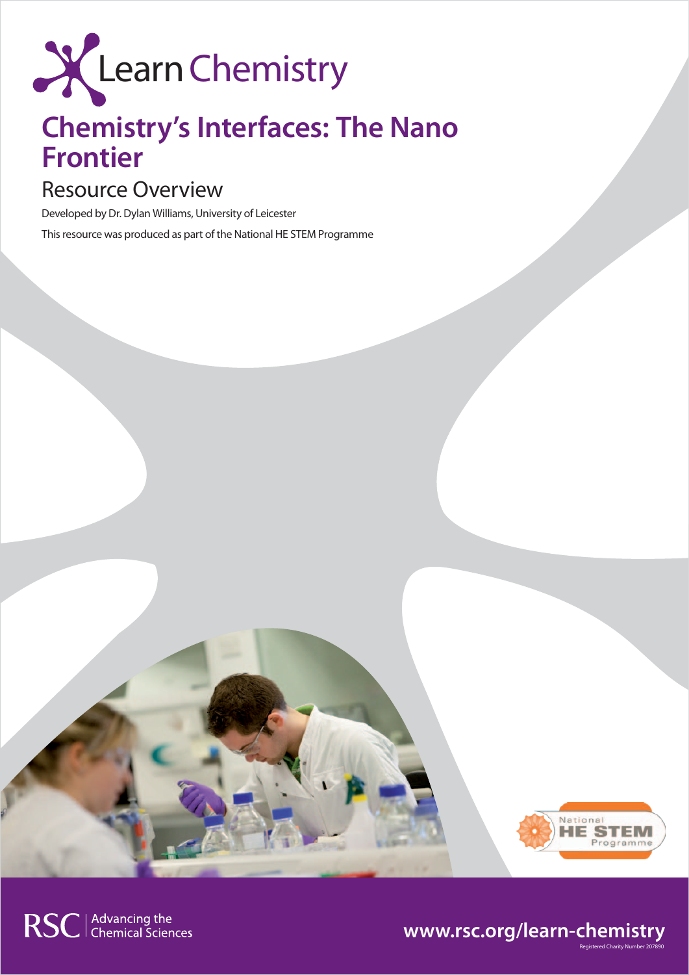

# **Chemistry's Interfaces: The Nano Frontier**

## Resource Overview

Developed by Dr. Dylan Williams, University of Leicester This resource was produced as part of the National HE STEM Programme



Registered Charity Number 207890

### **www.rsc.org/learn-chemistry**

RSC | Advancing the<br>
Chemical Sciences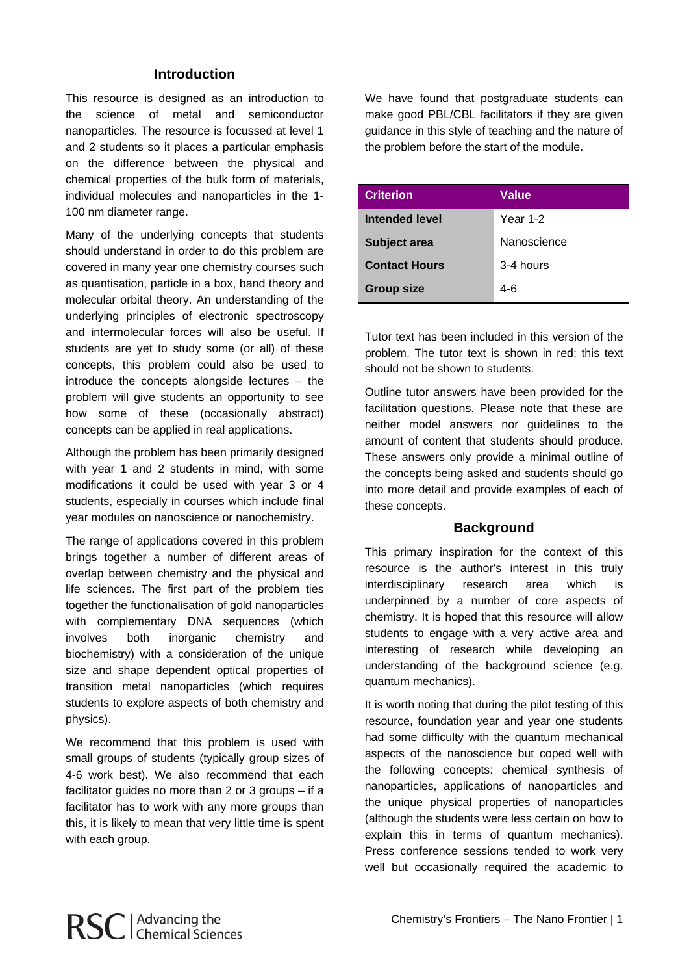#### **Introduction**

This resource is designed as an introduction to the science of metal and semiconductor nanoparticles. The resource is focussed at level 1 and 2 students so it places a particular emphasis on the difference between the physical and chemical properties of the bulk form of materials, individual molecules and nanoparticles in the 1- 100 nm diameter range.

Many of the underlying concepts that students should understand in order to do this problem are covered in many year one chemistry courses such as quantisation, particle in a box, band theory and molecular orbital theory. An understanding of the underlying principles of electronic spectroscopy and intermolecular forces will also be useful. If students are yet to study some (or all) of these concepts, this problem could also be used to introduce the concepts alongside lectures – the problem will give students an opportunity to see how some of these (occasionally abstract) concepts can be applied in real applications.

Although the problem has been primarily designed with year 1 and 2 students in mind, with some modifications it could be used with year 3 or 4 students, especially in courses which include final year modules on nanoscience or nanochemistry.

The range of applications covered in this problem brings together a number of different areas of overlap between chemistry and the physical and life sciences. The first part of the problem ties together the functionalisation of gold nanoparticles with complementary DNA sequences (which involves both inorganic chemistry and biochemistry) with a consideration of the unique size and shape dependent optical properties of transition metal nanoparticles (which requires students to explore aspects of both chemistry and physics).

We recommend that this problem is used with small groups of students (typically group sizes of 4-6 work best). We also recommend that each facilitator guides no more than 2 or 3 groups – if a facilitator has to work with any more groups than this, it is likely to mean that very little time is spent with each group.

We have found that postgraduate students can make good PBL/CBL facilitators if they are given guidance in this style of teaching and the nature of the problem before the start of the module.

| <b>Criterion</b>     | Value       |
|----------------------|-------------|
| Intended level       | Year 1-2    |
| <b>Subject area</b>  | Nanoscience |
| <b>Contact Hours</b> | 3-4 hours   |
| <b>Group size</b>    | 4-6         |

Tutor text has been included in this version of the problem. The tutor text is shown in red; this text should not be shown to students.

Outline tutor answers have been provided for the facilitation questions. Please note that these are neither model answers nor guidelines to the amount of content that students should produce. These answers only provide a minimal outline of the concepts being asked and students should go into more detail and provide examples of each of these concepts.

#### **Background**

This primary inspiration for the context of this resource is the author's interest in this truly interdisciplinary research area which is underpinned by a number of core aspects of chemistry. It is hoped that this resource will allow students to engage with a very active area and interesting of research while developing an understanding of the background science (e.g. quantum mechanics).

It is worth noting that during the pilot testing of this resource, foundation year and year one students had some difficulty with the quantum mechanical aspects of the nanoscience but coped well with the following concepts: chemical synthesis of nanoparticles, applications of nanoparticles and the unique physical properties of nanoparticles (although the students were less certain on how to explain this in terms of quantum mechanics). Press conference sessions tended to work very well but occasionally required the academic to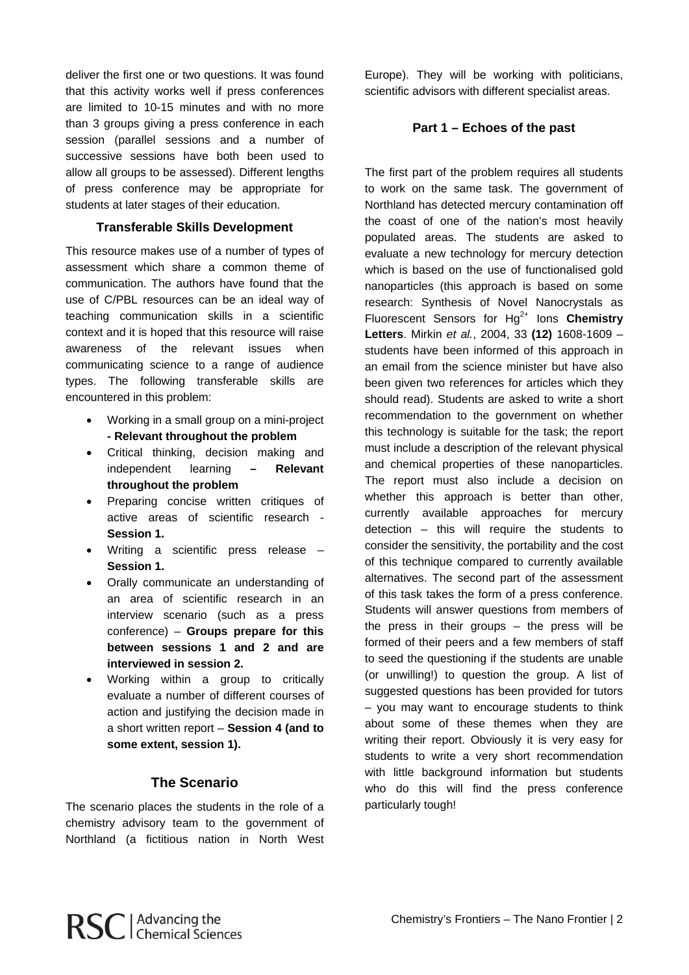deliver the first one or two questions. It was found that this activity works well if press conferences are limited to 10-15 minutes and with no more than 3 groups giving a press conference in each session (parallel sessions and a number of successive sessions have both been used to allow all groups to be assessed). Different lengths of press conference may be appropriate for students at later stages of their education.

#### **Transferable Skills Development**

This resource makes use of a number of types of assessment which share a common theme of communication. The authors have found that the use of C/PBL resources can be an ideal way of teaching communication skills in a scientific context and it is hoped that this resource will raise awareness of the relevant issues when communicating science to a range of audience types. The following transferable skills are encountered in this problem:

- Working in a small group on a mini-project **- Relevant throughout the problem**
- Critical thinking, decision making and independent learning **– Relevant throughout the problem**
- Preparing concise written critiques of active areas of scientific research - **Session 1.**
- Writing a scientific press release **Session 1.**
- Orally communicate an understanding of an area of scientific research in an interview scenario (such as a press conference) – **Groups prepare for this between sessions 1 and 2 and are interviewed in session 2.**
- Working within a group to critically evaluate a number of different courses of action and justifying the decision made in a short written report – **Session 4 (and to some extent, session 1).**

#### **The Scenario**

The scenario places the students in the role of a chemistry advisory team to the government of Northland (a fictitious nation in North West Europe). They will be working with politicians, scientific advisors with different specialist areas.

#### **Part 1 – Echoes of the past**

The first part of the problem requires all students to work on the same task. The government of Northland has detected mercury contamination off the coast of one of the nation's most heavily populated areas. The students are asked to evaluate a new technology for mercury detection which is based on the use of functionalised gold nanoparticles (this approach is based on some research: Synthesis of Novel Nanocrystals as Fluorescent Sensors for Ha<sup>2+</sup> lons **Chemistry Letters**. Mirkin *et al.*, 2004, 33 **(12)** 1608-1609 – students have been informed of this approach in an email from the science minister but have also been given two references for articles which they should read). Students are asked to write a short recommendation to the government on whether this technology is suitable for the task; the report must include a description of the relevant physical and chemical properties of these nanoparticles. The report must also include a decision on whether this approach is better than other, currently available approaches for mercury detection – this will require the students to consider the sensitivity, the portability and the cost of this technique compared to currently available alternatives. The second part of the assessment of this task takes the form of a press conference. Students will answer questions from members of the press in their groups – the press will be formed of their peers and a few members of staff to seed the questioning if the students are unable (or unwilling!) to question the group. A list of suggested questions has been provided for tutors – you may want to encourage students to think about some of these themes when they are writing their report. Obviously it is very easy for students to write a very short recommendation with little background information but students who do this will find the press conference particularly tough!